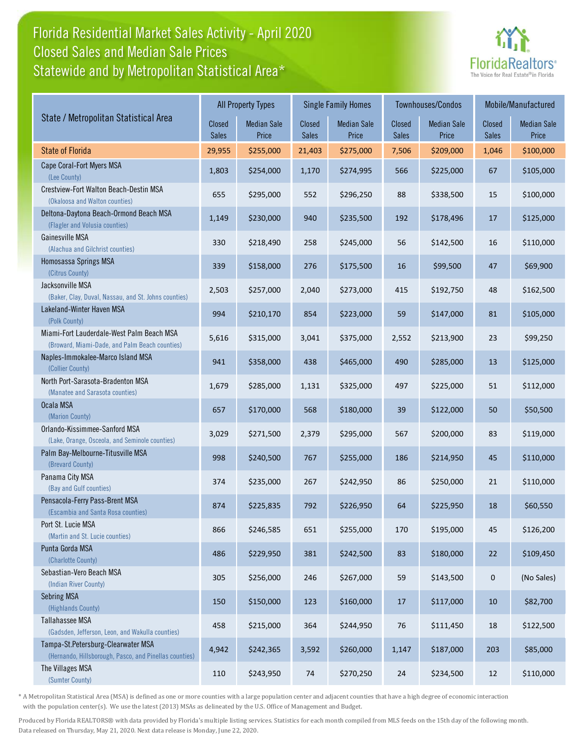## Florida Residential Market Sales Activity - April 2020 Statewide and by Metropolitan Statistical Area\* Closed Sales and Median Sale Prices



|                                                                                              | <b>All Property Types</b> |                             |                 | <b>Single Family Homes</b>  |                 | Townhouses/Condos           | Mobile/Manufactured |                             |
|----------------------------------------------------------------------------------------------|---------------------------|-----------------------------|-----------------|-----------------------------|-----------------|-----------------------------|---------------------|-----------------------------|
| State / Metropolitan Statistical Area                                                        | Closed<br><b>Sales</b>    | <b>Median Sale</b><br>Price | Closed<br>Sales | <b>Median Sale</b><br>Price | Closed<br>Sales | <b>Median Sale</b><br>Price | Closed<br>Sales     | <b>Median Sale</b><br>Price |
| <b>State of Florida</b>                                                                      | 29,955                    | \$255,000                   | 21,403          | \$275,000                   | 7,506           | \$209,000                   | 1,046               | \$100,000                   |
| Cape Coral-Fort Myers MSA<br>(Lee County)                                                    | 1,803                     | \$254,000                   | 1,170           | \$274,995                   | 566             | \$225,000                   | 67                  | \$105,000                   |
| Crestview-Fort Walton Beach-Destin MSA<br>(Okaloosa and Walton counties)                     | 655                       | \$295,000                   | 552             | \$296,250                   | 88              | \$338,500                   | 15                  | \$100,000                   |
| Deltona-Daytona Beach-Ormond Beach MSA<br>(Flagler and Volusia counties)                     | 1,149                     | \$230,000                   | 940             | \$235,500                   | 192             | \$178,496                   | 17                  | \$125,000                   |
| Gainesville MSA<br>(Alachua and Gilchrist counties)                                          | 330                       | \$218,490                   | 258             | \$245,000                   | 56              | \$142,500                   | 16                  | \$110,000                   |
| Homosassa Springs MSA<br>(Citrus County)                                                     | 339                       | \$158,000                   | 276             | \$175,500                   | 16              | \$99,500                    | 47                  | \$69,900                    |
| Jacksonville MSA<br>(Baker, Clay, Duval, Nassau, and St. Johns counties)                     | 2,503                     | \$257,000                   | 2,040           | \$273,000                   | 415             | \$192,750                   | 48                  | \$162,500                   |
| Lakeland-Winter Haven MSA<br>(Polk County)                                                   | 994                       | \$210,170                   | 854             | \$223,000                   | 59              | \$147,000                   | 81                  | \$105,000                   |
| Miami-Fort Lauderdale-West Palm Beach MSA<br>(Broward, Miami-Dade, and Palm Beach counties)  | 5,616                     | \$315,000                   | 3,041           | \$375,000                   | 2,552           | \$213,900                   | 23                  | \$99,250                    |
| Naples-Immokalee-Marco Island MSA<br>(Collier County)                                        | 941                       | \$358,000                   | 438             | \$465,000                   | 490             | \$285,000                   | 13                  | \$125,000                   |
| North Port-Sarasota-Bradenton MSA<br>(Manatee and Sarasota counties)                         | 1,679                     | \$285,000                   | 1,131           | \$325,000                   | 497             | \$225,000                   | 51                  | \$112,000                   |
| Ocala MSA<br>(Marion County)                                                                 | 657                       | \$170,000                   | 568             | \$180,000                   | 39              | \$122,000                   | 50                  | \$50,500                    |
| Orlando-Kissimmee-Sanford MSA<br>(Lake, Orange, Osceola, and Seminole counties)              | 3,029                     | \$271,500                   | 2,379           | \$295,000                   | 567             | \$200,000                   | 83                  | \$119,000                   |
| Palm Bay-Melbourne-Titusville MSA<br>(Brevard County)                                        | 998                       | \$240,500                   | 767             | \$255,000                   | 186             | \$214,950                   | 45                  | \$110,000                   |
| Panama City MSA<br>(Bay and Gulf counties)                                                   | 374                       | \$235,000                   | 267             | \$242,950                   | 86              | \$250,000                   | 21                  | \$110,000                   |
| Pensacola-Ferry Pass-Brent MSA<br>(Escambia and Santa Rosa counties)                         | 874                       | \$225,835                   | 792             | \$226,950                   | 64              | \$225,950                   | 18                  | \$60,550                    |
| Port St. Lucie MSA<br>(Martin and St. Lucie counties)                                        | 866                       | \$246,585                   | 651             | \$255,000                   | 170             | \$195,000                   | 45                  | \$126,200                   |
| Punta Gorda MSA<br>(Charlotte County)                                                        | 486                       | \$229,950                   | 381             | \$242,500                   | 83              | \$180,000                   | 22                  | \$109,450                   |
| Sebastian-Vero Beach MSA<br>(Indian River County)                                            | 305                       | \$256,000                   | 246             | \$267,000                   | 59              | \$143,500                   | $\mathbf 0$         | (No Sales)                  |
| <b>Sebring MSA</b><br>(Highlands County)                                                     | 150                       | \$150,000                   | 123             | \$160,000                   | 17              | \$117,000                   | 10                  | \$82,700                    |
| Tallahassee MSA<br>(Gadsden, Jefferson, Leon, and Wakulla counties)                          | 458                       | \$215,000                   | 364             | \$244,950                   | 76              | \$111,450                   | 18                  | \$122,500                   |
| Tampa-St.Petersburg-Clearwater MSA<br>(Hernando, Hillsborough, Pasco, and Pinellas counties) | 4,942                     | \$242,365                   | 3,592           | \$260,000                   | 1,147           | \$187,000                   | 203                 | \$85,000                    |
| The Villages MSA<br>(Sumter County)                                                          | 110                       | \$243,950                   | 74              | \$270,250                   | 24              | \$234,500                   | 12                  | \$110,000                   |

\* A Metropolitan Statistical Area (MSA) is defined as one or more counties with a large population center and adjacent counties that have a high degree of economic interaction with the population center(s). We use the latest (2013) MSAs as delineated by the U.S. Office of Management and Budget.

Produced by Florida REALTORS® with data provided by Florida's multiple listing services. Statistics for each month compiled from MLS feeds on the 15th day of the following month. Data released on Thursday, May 21, 2020. Next data release is Monday, June 22, 2020.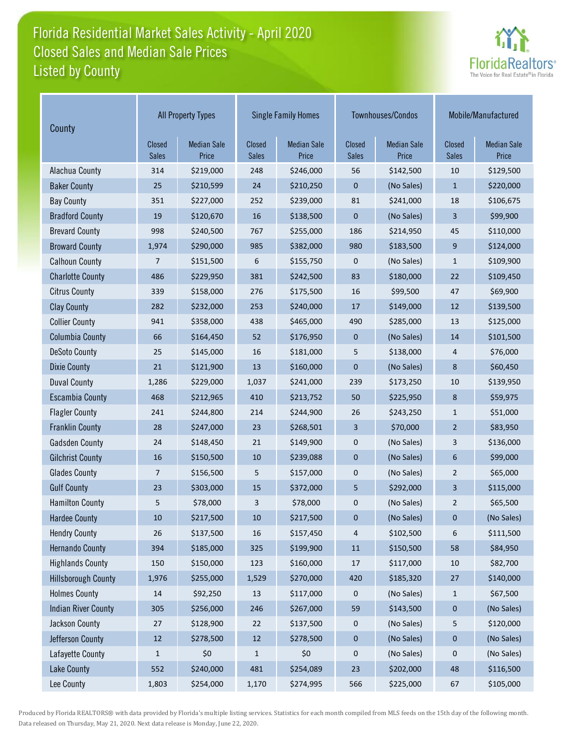## Florida Residential Market Sales Activity - April 2020 Listed by County Closed Sales and Median Sale Prices



| County                     | <b>All Property Types</b> |                             |                        | <b>Single Family Homes</b>  |                        | Townhouses/Condos           | Mobile/Manufactured           |                             |
|----------------------------|---------------------------|-----------------------------|------------------------|-----------------------------|------------------------|-----------------------------|-------------------------------|-----------------------------|
|                            | Closed<br>Sales           | <b>Median Sale</b><br>Price | Closed<br><b>Sales</b> | <b>Median Sale</b><br>Price | Closed<br><b>Sales</b> | <b>Median Sale</b><br>Price | <b>Closed</b><br><b>Sales</b> | <b>Median Sale</b><br>Price |
| Alachua County             | 314                       | \$219,000                   | 248                    | \$246,000                   | 56                     | \$142,500                   | 10                            | \$129,500                   |
| <b>Baker County</b>        | 25                        | \$210,599                   | 24                     | \$210,250                   | 0                      | (No Sales)                  | $\mathbf{1}$                  | \$220,000                   |
| <b>Bay County</b>          | 351                       | \$227,000                   | 252                    | \$239,000                   | 81                     | \$241,000                   | 18                            | \$106,675                   |
| <b>Bradford County</b>     | 19                        | \$120,670                   | 16                     | \$138,500                   | $\pmb{0}$              | (No Sales)                  | 3                             | \$99,900                    |
| <b>Brevard County</b>      | 998                       | \$240,500                   | 767                    | \$255,000                   | 186                    | \$214,950                   | 45                            | \$110,000                   |
| <b>Broward County</b>      | 1,974                     | \$290,000                   | 985                    | \$382,000                   | 980                    | \$183,500                   | 9                             | \$124,000                   |
| <b>Calhoun County</b>      | 7                         | \$151,500                   | 6                      | \$155,750                   | 0                      | (No Sales)                  | $\mathbf{1}$                  | \$109,900                   |
| <b>Charlotte County</b>    | 486                       | \$229,950                   | 381                    | \$242,500                   | 83                     | \$180,000                   | 22                            | \$109,450                   |
| <b>Citrus County</b>       | 339                       | \$158,000                   | 276                    | \$175,500                   | 16                     | \$99,500                    | 47                            | \$69,900                    |
| <b>Clay County</b>         | 282                       | \$232,000                   | 253                    | \$240,000                   | 17                     | \$149,000                   | 12                            | \$139,500                   |
| <b>Collier County</b>      | 941                       | \$358,000                   | 438                    | \$465,000                   | 490                    | \$285,000                   | 13                            | \$125,000                   |
| <b>Columbia County</b>     | 66                        | \$164,450                   | 52                     | \$176,950                   | $\mathbf 0$            | (No Sales)                  | 14                            | \$101,500                   |
| <b>DeSoto County</b>       | 25                        | \$145,000                   | 16                     | \$181,000                   | 5                      | \$138,000                   | 4                             | \$76,000                    |
| <b>Dixie County</b>        | 21                        | \$121,900                   | 13                     | \$160,000                   | 0                      | (No Sales)                  | 8                             | \$60,450                    |
| <b>Duval County</b>        | 1,286                     | \$229,000                   | 1,037                  | \$241,000                   | 239                    | \$173,250                   | 10                            | \$139,950                   |
| <b>Escambia County</b>     | 468                       | \$212,965                   | 410                    | \$213,752                   | 50                     | \$225,950                   | $\bf 8$                       | \$59,975                    |
| <b>Flagler County</b>      | 241                       | \$244,800                   | 214                    | \$244,900                   | 26                     | \$243,250                   | $\mathbf{1}$                  | \$51,000                    |
| <b>Franklin County</b>     | 28                        | \$247,000                   | 23                     | \$268,501                   | 3                      | \$70,000                    | $\overline{2}$                | \$83,950                    |
| <b>Gadsden County</b>      | 24                        | \$148,450                   | 21                     | \$149,900                   | 0                      | (No Sales)                  | 3                             | \$136,000                   |
| <b>Gilchrist County</b>    | 16                        | \$150,500                   | 10                     | \$239,088                   | 0                      | (No Sales)                  | 6                             | \$99,000                    |
| <b>Glades County</b>       | 7                         | \$156,500                   | 5                      | \$157,000                   | 0                      | (No Sales)                  | $\overline{2}$                | \$65,000                    |
| <b>Gulf County</b>         | 23                        | \$303,000                   | 15                     | \$372,000                   | 5                      | \$292,000                   | 3                             | \$115,000                   |
| <b>Hamilton County</b>     | 5                         | \$78,000                    | 3                      | \$78,000                    | 0                      | (No Sales)                  | $\overline{2}$                | \$65,500                    |
| <b>Hardee County</b>       | 10                        | \$217,500                   | 10                     | \$217,500                   | 0                      | (No Sales)                  | 0                             | (No Sales)                  |
| <b>Hendry County</b>       | 26                        | \$137,500                   | 16                     | \$157,450                   | 4                      | \$102,500                   | 6                             | \$111,500                   |
| <b>Hernando County</b>     | 394                       | \$185,000                   | 325                    | \$199,900                   | $11\,$                 | \$150,500                   | 58                            | \$84,950                    |
| <b>Highlands County</b>    | 150                       | \$150,000                   | 123                    | \$160,000                   | $17\,$                 | \$117,000                   | $10\,$                        | \$82,700                    |
| <b>Hillsborough County</b> | 1,976                     | \$255,000                   | 1,529                  | \$270,000                   | 420                    | \$185,320                   | 27                            | \$140,000                   |
| <b>Holmes County</b>       | $14\,$                    | \$92,250                    | 13                     | \$117,000                   | 0                      | (No Sales)                  | $\mathbf{1}$                  | \$67,500                    |
| <b>Indian River County</b> | 305                       | \$256,000                   | 246                    | \$267,000                   | 59                     | \$143,500                   | $\pmb{0}$                     | (No Sales)                  |
| Jackson County             | 27                        | \$128,900                   | 22                     | \$137,500                   | 0                      | (No Sales)                  | 5                             | \$120,000                   |
| Jefferson County           | $12\,$                    | \$278,500                   | 12                     | \$278,500                   | $\pmb{0}$              | (No Sales)                  |                               | (No Sales)                  |
| Lafayette County           | $\mathbf{1}$              | \$0                         | 1                      | \$0                         | 0                      | (No Sales)                  | $\pmb{0}$                     | (No Sales)                  |
| <b>Lake County</b>         | 552                       | \$240,000                   | 481                    | \$254,089                   | 23                     | \$202,000                   | 48                            | \$116,500                   |
| Lee County                 | 1,803                     | \$254,000                   | 1,170                  | \$274,995                   | 566                    | \$225,000                   | 67                            | \$105,000                   |

Produced by Florida REALTORS® with data provided by Florida's multiple listing services. Statistics for each month compiled from MLS feeds on the 15th day of the following month. Data released on Thursday, May 21, 2020. Next data release is Monday, June 22, 2020.